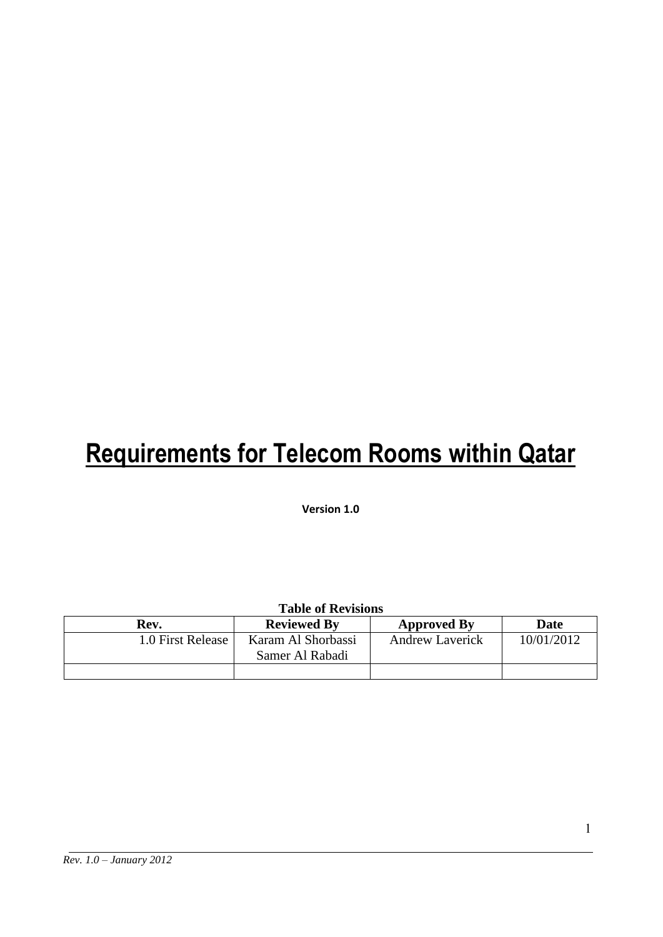# **Requirements for Telecom Rooms within Qatar**

**Version 1.0**

| <b>Table of Revisions</b> |                                       |                        |             |  |  |
|---------------------------|---------------------------------------|------------------------|-------------|--|--|
| Rev.                      | <b>Reviewed By</b>                    | <b>Approved By</b>     | <b>Date</b> |  |  |
| 1.0 First Release         | Karam Al Shorbassi<br>Samer Al Rabadi | <b>Andrew Laverick</b> | 10/01/2012  |  |  |
|                           |                                       |                        |             |  |  |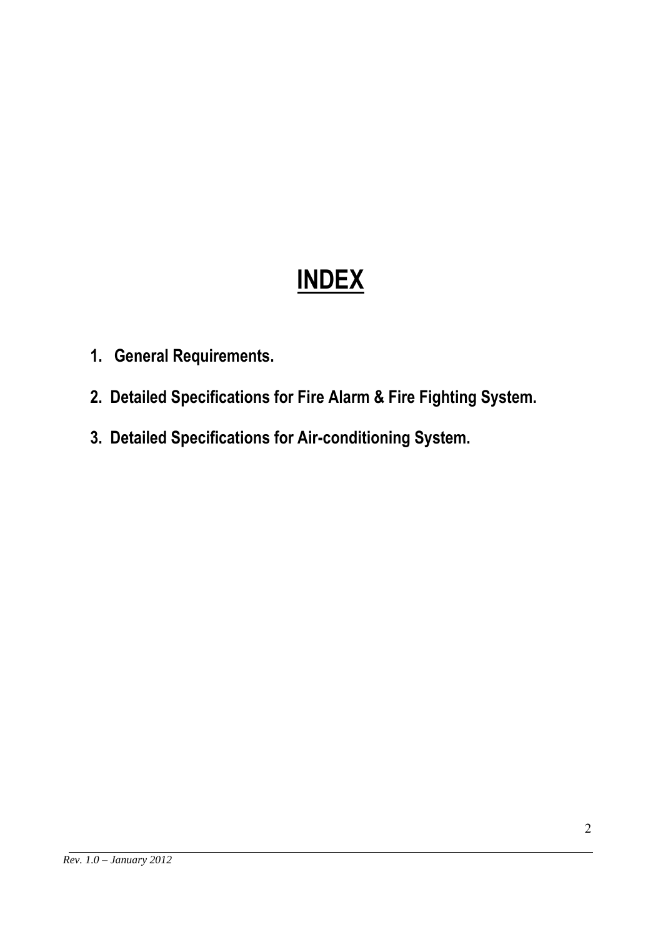# **INDEX**

- **1. General Requirements.**
- **2. Detailed Specifications for Fire Alarm & Fire Fighting System.**
- **3. Detailed Specifications for Air-conditioning System.**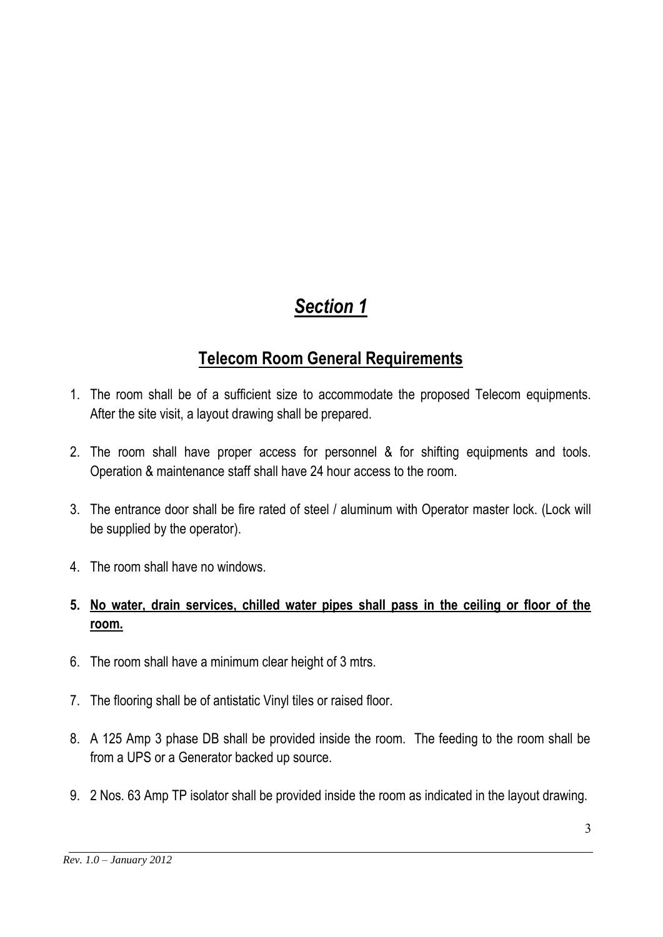## *Section 1*

## **Telecom Room General Requirements**

- 1. The room shall be of a sufficient size to accommodate the proposed Telecom equipments. After the site visit, a layout drawing shall be prepared.
- 2. The room shall have proper access for personnel & for shifting equipments and tools. Operation & maintenance staff shall have 24 hour access to the room.
- 3. The entrance door shall be fire rated of steel / aluminum with Operator master lock. (Lock will be supplied by the operator).
- 4. The room shall have no windows.
- **5. No water, drain services, chilled water pipes shall pass in the ceiling or floor of the room.**
- 6. The room shall have a minimum clear height of 3 mtrs.
- 7. The flooring shall be of antistatic Vinyl tiles or raised floor.
- 8. A 125 Amp 3 phase DB shall be provided inside the room. The feeding to the room shall be from a UPS or a Generator backed up source.
- 9. 2 Nos. 63 Amp TP isolator shall be provided inside the room as indicated in the layout drawing.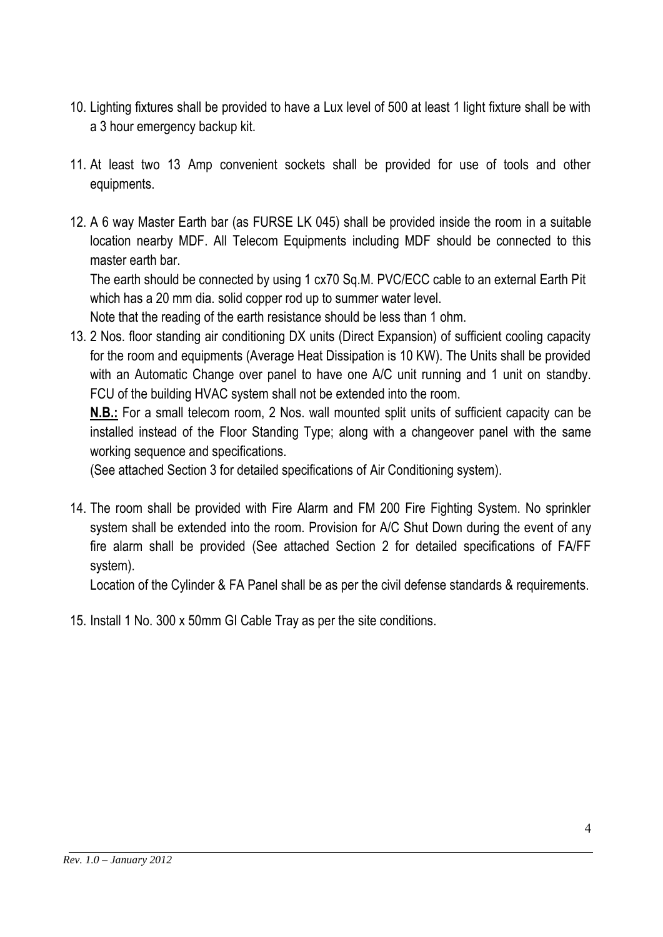- 10. Lighting fixtures shall be provided to have a Lux level of 500 at least 1 light fixture shall be with a 3 hour emergency backup kit.
- 11. At least two 13 Amp convenient sockets shall be provided for use of tools and other equipments.
- 12. A 6 way Master Earth bar (as FURSE LK 045) shall be provided inside the room in a suitable location nearby MDF. All Telecom Equipments including MDF should be connected to this master earth bar.

The earth should be connected by using 1 cx70 Sq.M. PVC/ECC cable to an external Earth Pit which has a 20 mm dia. solid copper rod up to summer water level.

Note that the reading of the earth resistance should be less than 1 ohm.

13. 2 Nos. floor standing air conditioning DX units (Direct Expansion) of sufficient cooling capacity for the room and equipments (Average Heat Dissipation is 10 KW). The Units shall be provided with an Automatic Change over panel to have one A/C unit running and 1 unit on standby. FCU of the building HVAC system shall not be extended into the room.

**N.B.:** For a small telecom room, 2 Nos. wall mounted split units of sufficient capacity can be installed instead of the Floor Standing Type; along with a changeover panel with the same working sequence and specifications.

(See attached Section 3 for detailed specifications of Air Conditioning system).

14. The room shall be provided with Fire Alarm and FM 200 Fire Fighting System. No sprinkler system shall be extended into the room. Provision for A/C Shut Down during the event of any fire alarm shall be provided (See attached Section 2 for detailed specifications of FA/FF system).

Location of the Cylinder & FA Panel shall be as per the civil defense standards & requirements.

15. Install 1 No. 300 x 50mm GI Cable Tray as per the site conditions.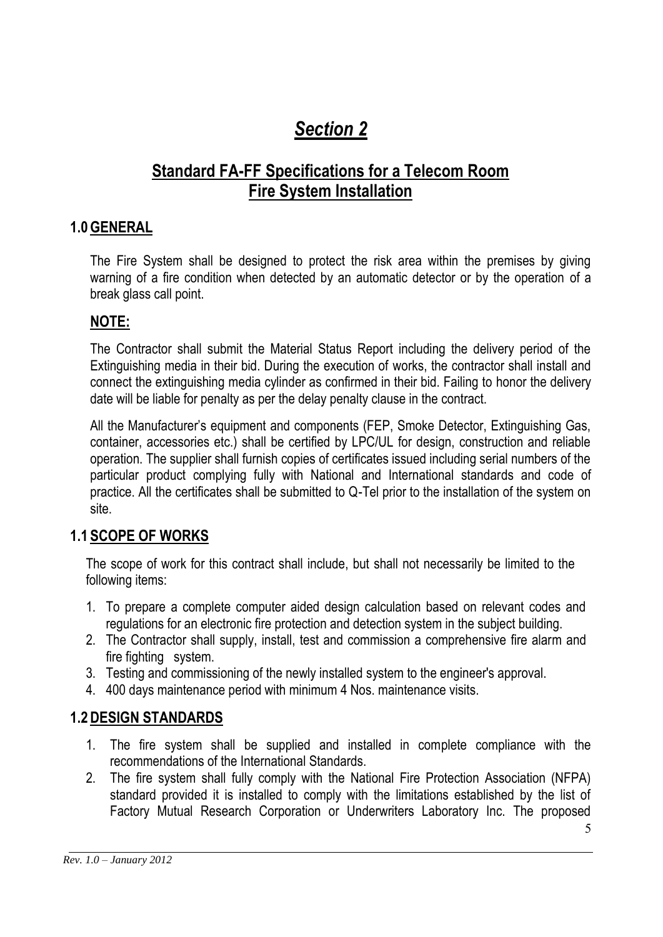## *Section 2*

## **Standard FA-FF Specifications for a Telecom Room Fire System Installation**

#### **1.0GENERAL**

The Fire System shall be designed to protect the risk area within the premises by giving warning of a fire condition when detected by an automatic detector or by the operation of a break glass call point.

#### **NOTE:**

The Contractor shall submit the Material Status Report including the delivery period of the Extinguishing media in their bid. During the execution of works, the contractor shall install and connect the extinguishing media cylinder as confirmed in their bid. Failing to honor the delivery date will be liable for penalty as per the delay penalty clause in the contract.

All the Manufacturer's equipment and components (FEP, Smoke Detector, Extinguishing Gas, container, accessories etc.) shall be certified by LPC/UL for design, construction and reliable operation. The supplier shall furnish copies of certificates issued including serial numbers of the particular product complying fully with National and International standards and code of practice. All the certificates shall be submitted to Q-Tel prior to the installation of the system on site.

#### **1.1 SCOPE OF WORKS**

The scope of work for this contract shall include, but shall not necessarily be limited to the following items:

- 1. To prepare a complete computer aided design calculation based on relevant codes and regulations for an electronic fire protection and detection system in the subject building.
- 2. The Contractor shall supply, install, test and commission a comprehensive fire alarm and fire fighting system.
- 3. Testing and commissioning of the newly installed system to the engineer's approval.
- 4. 400 days maintenance period with minimum 4 Nos. maintenance visits.

#### **1.2DESIGN STANDARDS**

- 1. The fire system shall be supplied and installed in complete compliance with the recommendations of the International Standards.
- 2. The fire system shall fully comply with the National Fire Protection Association (NFPA) standard provided it is installed to comply with the limitations established by the list of Factory Mutual Research Corporation or Underwriters Laboratory Inc. The proposed

5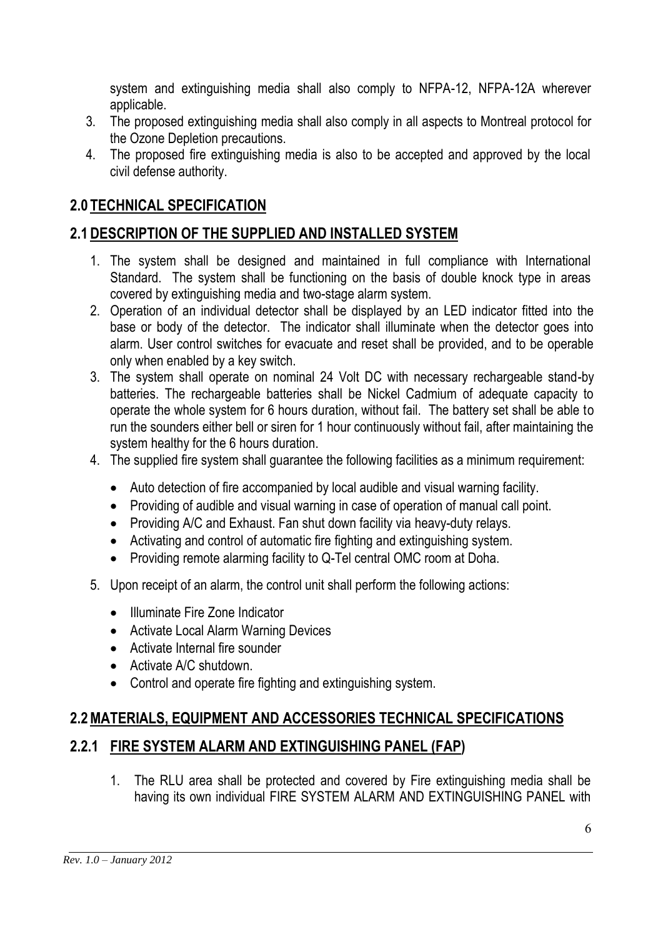system and extinguishing media shall also comply to NFPA-12, NFPA-12A wherever applicable.

- 3. The proposed extinguishing media shall also comply in all aspects to Montreal protocol for the Ozone Depletion precautions.
- 4. The proposed fire extinguishing media is also to be accepted and approved by the local civil defense authority.

## **2.0 TECHNICAL SPECIFICATION**

## **2.1DESCRIPTION OF THE SUPPLIED AND INSTALLED SYSTEM**

- 1. The system shall be designed and maintained in full compliance with International Standard. The system shall be functioning on the basis of double knock type in areas covered by extinguishing media and two-stage alarm system.
- 2. Operation of an individual detector shall be displayed by an LED indicator fitted into the base or body of the detector. The indicator shall illuminate when the detector goes into alarm. User control switches for evacuate and reset shall be provided, and to be operable only when enabled by a key switch.
- 3. The system shall operate on nominal 24 Volt DC with necessary rechargeable stand-by batteries. The rechargeable batteries shall be Nickel Cadmium of adequate capacity to operate the whole system for 6 hours duration, without fail. The battery set shall be able to run the sounders either bell or siren for 1 hour continuously without fail, after maintaining the system healthy for the 6 hours duration.
- 4. The supplied fire system shall guarantee the following facilities as a minimum requirement:
	- Auto detection of fire accompanied by local audible and visual warning facility.
	- Providing of audible and visual warning in case of operation of manual call point.
	- Providing A/C and Exhaust. Fan shut down facility via heavy-duty relays.
	- Activating and control of automatic fire fighting and extinguishing system.
	- Providing remote alarming facility to Q-Tel central OMC room at Doha.
- 5. Upon receipt of an alarm, the control unit shall perform the following actions:
	- Illuminate Fire Zone Indicator
	- Activate Local Alarm Warning Devices
	- Activate Internal fire sounder
	- Activate A/C shutdown.
	- Control and operate fire fighting and extinguishing system.

#### **2.2MATERIALS, EQUIPMENT AND ACCESSORIES TECHNICAL SPECIFICATIONS**

#### **2.2.1 FIRE SYSTEM ALARM AND EXTINGUISHING PANEL (FAP)**

1. The RLU area shall be protected and covered by Fire extinguishing media shall be having its own individual FIRE SYSTEM ALARM AND EXTINGUISHING PANEL with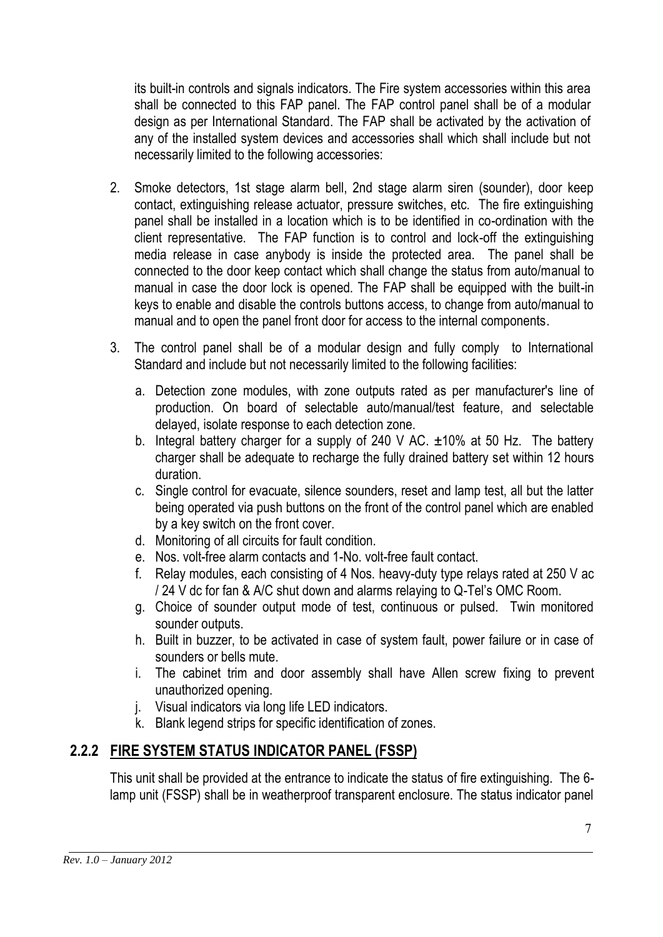its built-in controls and signals indicators. The Fire system accessories within this area shall be connected to this FAP panel. The FAP control panel shall be of a modular design as per International Standard. The FAP shall be activated by the activation of any of the installed system devices and accessories shall which shall include but not necessarily limited to the following accessories:

- 2. Smoke detectors, 1st stage alarm bell, 2nd stage alarm siren (sounder), door keep contact, extinguishing release actuator, pressure switches, etc. The fire extinguishing panel shall be installed in a location which is to be identified in co-ordination with the client representative. The FAP function is to control and lock-off the extinguishing media release in case anybody is inside the protected area. The panel shall be connected to the door keep contact which shall change the status from auto/manual to manual in case the door lock is opened. The FAP shall be equipped with the built-in keys to enable and disable the controls buttons access, to change from auto/manual to manual and to open the panel front door for access to the internal components.
- 3. The control panel shall be of a modular design and fully comply to International Standard and include but not necessarily limited to the following facilities:
	- a. Detection zone modules, with zone outputs rated as per manufacturer's line of production. On board of selectable auto/manual/test feature, and selectable delayed, isolate response to each detection zone.
	- b. Integral battery charger for a supply of 240 V AC.  $\pm 10\%$  at 50 Hz. The battery charger shall be adequate to recharge the fully drained battery set within 12 hours duration.
	- c. Single control for evacuate, silence sounders, reset and lamp test, all but the latter being operated via push buttons on the front of the control panel which are enabled by a key switch on the front cover.
	- d. Monitoring of all circuits for fault condition.
	- e. Nos. volt-free alarm contacts and 1-No. volt-free fault contact.
	- f. Relay modules, each consisting of 4 Nos. heavy-duty type relays rated at 250 V ac / 24 V dc for fan & A/C shut down and alarms relaying to Q-Tel's OMC Room.
	- g. Choice of sounder output mode of test, continuous or pulsed. Twin monitored sounder outputs.
	- h. Built in buzzer, to be activated in case of system fault, power failure or in case of sounders or bells mute.
	- i. The cabinet trim and door assembly shall have Allen screw fixing to prevent unauthorized opening.
	- j. Visual indicators via long life LED indicators.
	- k. Blank legend strips for specific identification of zones.

## **2.2.2 FIRE SYSTEM STATUS INDICATOR PANEL (FSSP)**

This unit shall be provided at the entrance to indicate the status of fire extinguishing. The 6 lamp unit (FSSP) shall be in weatherproof transparent enclosure. The status indicator panel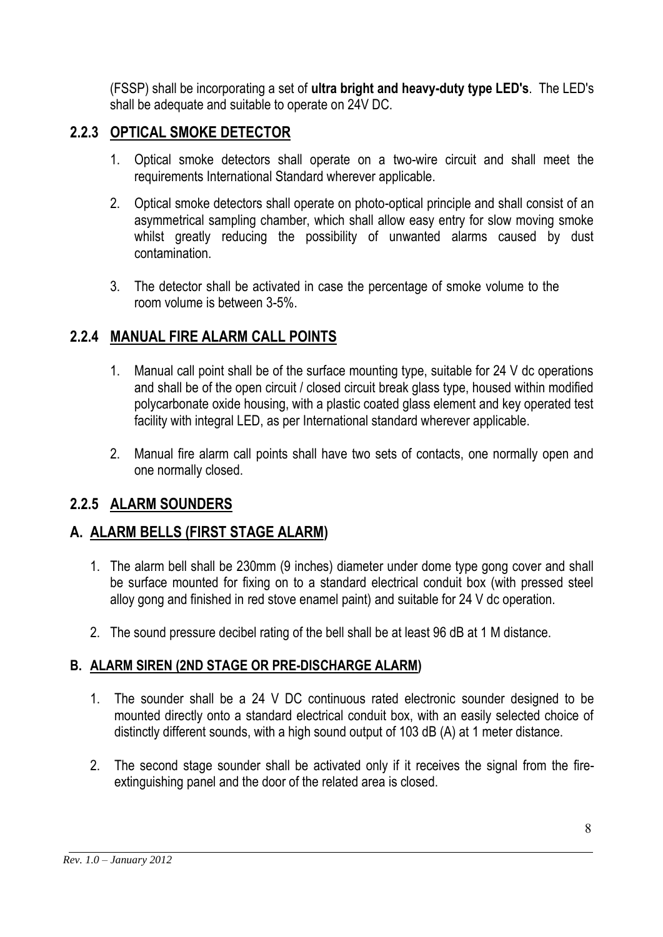(FSSP) shall be incorporating a set of **ultra bright and heavy-duty type LED's**. The LED's shall be adequate and suitable to operate on 24V DC.

## **2.2.3 OPTICAL SMOKE DETECTOR**

- 1. Optical smoke detectors shall operate on a two-wire circuit and shall meet the requirements International Standard wherever applicable.
- 2. Optical smoke detectors shall operate on photo-optical principle and shall consist of an asymmetrical sampling chamber, which shall allow easy entry for slow moving smoke whilst greatly reducing the possibility of unwanted alarms caused by dust contamination.
- 3. The detector shall be activated in case the percentage of smoke volume to the room volume is between 3-5%.

## **2.2.4 MANUAL FIRE ALARM CALL POINTS**

- 1. Manual call point shall be of the surface mounting type, suitable for 24 V dc operations and shall be of the open circuit / closed circuit break glass type, housed within modified polycarbonate oxide housing, with a plastic coated glass element and key operated test facility with integral LED, as per International standard wherever applicable.
- 2. Manual fire alarm call points shall have two sets of contacts, one normally open and one normally closed.

#### **2.2.5 ALARM SOUNDERS**

#### **A. ALARM BELLS (FIRST STAGE ALARM)**

- 1. The alarm bell shall be 230mm (9 inches) diameter under dome type gong cover and shall be surface mounted for fixing on to a standard electrical conduit box (with pressed steel alloy gong and finished in red stove enamel paint) and suitable for 24 V dc operation.
- 2. The sound pressure decibel rating of the bell shall be at least 96 dB at 1 M distance.

#### **B. ALARM SIREN (2ND STAGE OR PRE-DISCHARGE ALARM)**

- 1. The sounder shall be a 24 V DC continuous rated electronic sounder designed to be mounted directly onto a standard electrical conduit box, with an easily selected choice of distinctly different sounds, with a high sound output of 103 dB (A) at 1 meter distance.
- 2. The second stage sounder shall be activated only if it receives the signal from the fireextinguishing panel and the door of the related area is closed.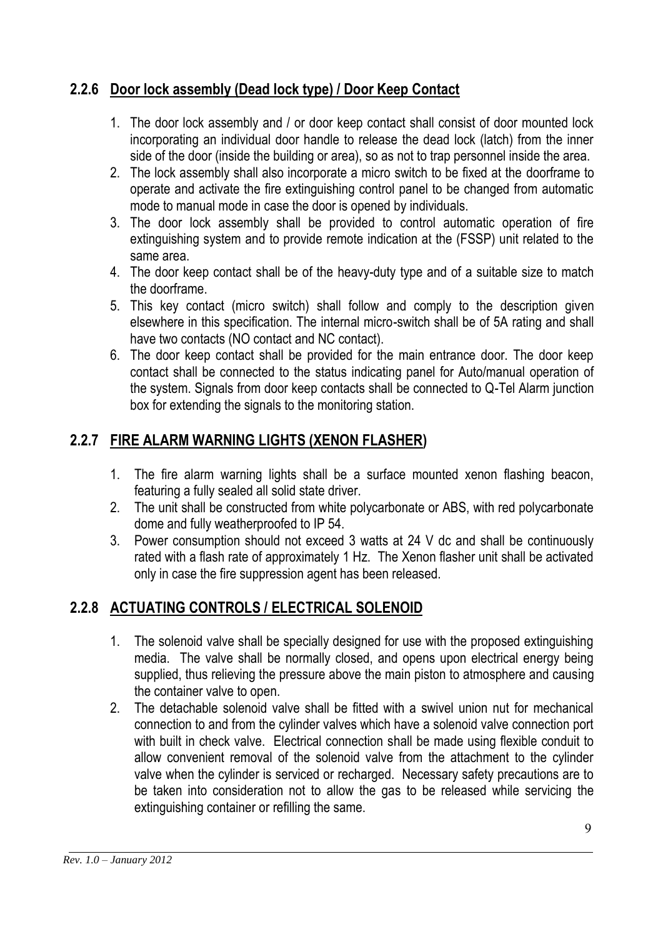## **2.2.6 Door lock assembly (Dead lock type) / Door Keep Contact**

- 1. The door lock assembly and / or door keep contact shall consist of door mounted lock incorporating an individual door handle to release the dead lock (latch) from the inner side of the door (inside the building or area), so as not to trap personnel inside the area.
- 2. The lock assembly shall also incorporate a micro switch to be fixed at the doorframe to operate and activate the fire extinguishing control panel to be changed from automatic mode to manual mode in case the door is opened by individuals.
- 3. The door lock assembly shall be provided to control automatic operation of fire extinguishing system and to provide remote indication at the (FSSP) unit related to the same area.
- 4. The door keep contact shall be of the heavy-duty type and of a suitable size to match the doorframe.
- 5. This key contact (micro switch) shall follow and comply to the description given elsewhere in this specification. The internal micro-switch shall be of 5A rating and shall have two contacts (NO contact and NC contact).
- 6. The door keep contact shall be provided for the main entrance door. The door keep contact shall be connected to the status indicating panel for Auto/manual operation of the system. Signals from door keep contacts shall be connected to Q-Tel Alarm junction box for extending the signals to the monitoring station.

## **2.2.7 FIRE ALARM WARNING LIGHTS (XENON FLASHER)**

- 1. The fire alarm warning lights shall be a surface mounted xenon flashing beacon, featuring a fully sealed all solid state driver.
- 2. The unit shall be constructed from white polycarbonate or ABS, with red polycarbonate dome and fully weatherproofed to IP 54.
- 3. Power consumption should not exceed 3 watts at 24 V dc and shall be continuously rated with a flash rate of approximately 1 Hz. The Xenon flasher unit shall be activated only in case the fire suppression agent has been released.

## **2.2.8 ACTUATING CONTROLS / ELECTRICAL SOLENOID**

- 1. The solenoid valve shall be specially designed for use with the proposed extinguishing media. The valve shall be normally closed, and opens upon electrical energy being supplied, thus relieving the pressure above the main piston to atmosphere and causing the container valve to open.
- 2. The detachable solenoid valve shall be fitted with a swivel union nut for mechanical connection to and from the cylinder valves which have a solenoid valve connection port with built in check valve. Electrical connection shall be made using flexible conduit to allow convenient removal of the solenoid valve from the attachment to the cylinder valve when the cylinder is serviced or recharged. Necessary safety precautions are to be taken into consideration not to allow the gas to be released while servicing the extinguishing container or refilling the same.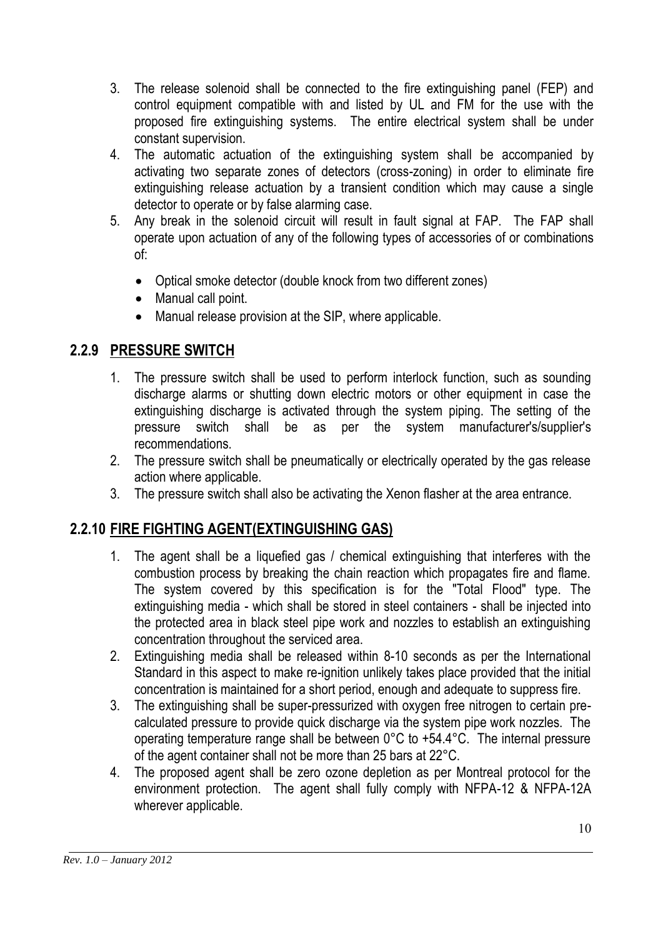- 3. The release solenoid shall be connected to the fire extinguishing panel (FEP) and control equipment compatible with and listed by UL and FM for the use with the proposed fire extinguishing systems. The entire electrical system shall be under constant supervision.
- 4. The automatic actuation of the extinguishing system shall be accompanied by activating two separate zones of detectors (cross-zoning) in order to eliminate fire extinguishing release actuation by a transient condition which may cause a single detector to operate or by false alarming case.
- 5. Any break in the solenoid circuit will result in fault signal at FAP. The FAP shall operate upon actuation of any of the following types of accessories of or combinations of:
	- Optical smoke detector (double knock from two different zones)
	- Manual call point.
	- Manual release provision at the SIP, where applicable.

#### **2.2.9 PRESSURE SWITCH**

- 1. The pressure switch shall be used to perform interlock function, such as sounding discharge alarms or shutting down electric motors or other equipment in case the extinguishing discharge is activated through the system piping. The setting of the pressure switch shall be as per the system manufacturer's/supplier's recommendations.
- 2. The pressure switch shall be pneumatically or electrically operated by the gas release action where applicable.
- 3. The pressure switch shall also be activating the Xenon flasher at the area entrance.

#### **2.2.10 FIRE FIGHTING AGENT(EXTINGUISHING GAS)**

- 1. The agent shall be a liquefied gas / chemical extinguishing that interferes with the combustion process by breaking the chain reaction which propagates fire and flame. The system covered by this specification is for the "Total Flood" type. The extinguishing media - which shall be stored in steel containers - shall be injected into the protected area in black steel pipe work and nozzles to establish an extinguishing concentration throughout the serviced area.
- 2. Extinguishing media shall be released within 8-10 seconds as per the International Standard in this aspect to make re-ignition unlikely takes place provided that the initial concentration is maintained for a short period, enough and adequate to suppress fire.
- 3. The extinguishing shall be super-pressurized with oxygen free nitrogen to certain precalculated pressure to provide quick discharge via the system pipe work nozzles. The operating temperature range shall be between 0°C to +54.4°C. The internal pressure of the agent container shall not be more than 25 bars at 22°C.
- 4. The proposed agent shall be zero ozone depletion as per Montreal protocol for the environment protection. The agent shall fully comply with NFPA-12 & NFPA-12A wherever applicable.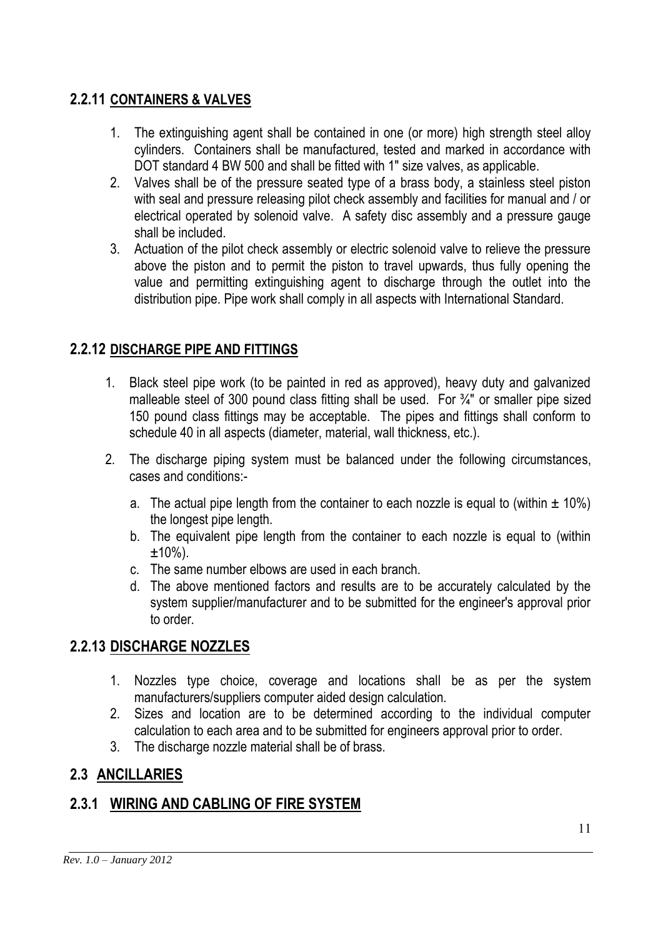## **2.2.11 CONTAINERS & VALVES**

- 1. The extinguishing agent shall be contained in one (or more) high strength steel alloy cylinders. Containers shall be manufactured, tested and marked in accordance with DOT standard 4 BW 500 and shall be fitted with 1" size valves, as applicable.
- 2. Valves shall be of the pressure seated type of a brass body, a stainless steel piston with seal and pressure releasing pilot check assembly and facilities for manual and / or electrical operated by solenoid valve. A safety disc assembly and a pressure gauge shall be included.
- 3. Actuation of the pilot check assembly or electric solenoid valve to relieve the pressure above the piston and to permit the piston to travel upwards, thus fully opening the value and permitting extinguishing agent to discharge through the outlet into the distribution pipe. Pipe work shall comply in all aspects with International Standard.

#### **2.2.12 DISCHARGE PIPE AND FITTINGS**

- 1. Black steel pipe work (to be painted in red as approved), heavy duty and galvanized malleable steel of 300 pound class fitting shall be used. For  $\frac{3}{4}$  or smaller pipe sized 150 pound class fittings may be acceptable. The pipes and fittings shall conform to schedule 40 in all aspects (diameter, material, wall thickness, etc.).
- 2. The discharge piping system must be balanced under the following circumstances, cases and conditions:
	- a. The actual pipe length from the container to each nozzle is equal to (within  $\pm$  10%) the longest pipe length.
	- b. The equivalent pipe length from the container to each nozzle is equal to (within  $±10%$ ).
	- c. The same number elbows are used in each branch.
	- d. The above mentioned factors and results are to be accurately calculated by the system supplier/manufacturer and to be submitted for the engineer's approval prior to order.

#### **2.2.13 DISCHARGE NOZZLES**

- 1. Nozzles type choice, coverage and locations shall be as per the system manufacturers/suppliers computer aided design calculation.
- 2. Sizes and location are to be determined according to the individual computer calculation to each area and to be submitted for engineers approval prior to order.
- 3. The discharge nozzle material shall be of brass.

#### **2.3 ANCILLARIES**

#### **2.3.1 WIRING AND CABLING OF FIRE SYSTEM**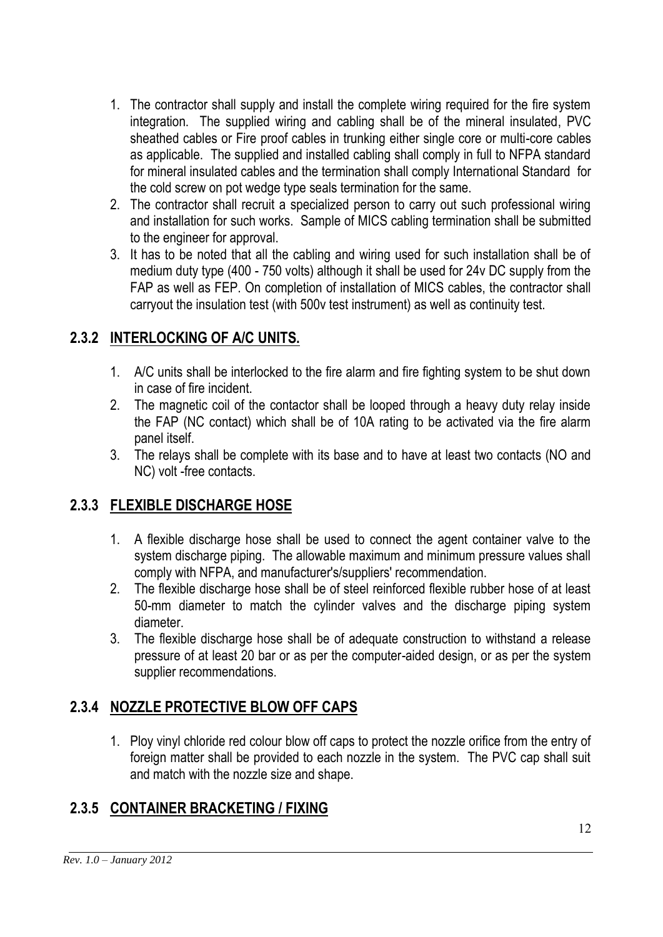- 1. The contractor shall supply and install the complete wiring required for the fire system integration. The supplied wiring and cabling shall be of the mineral insulated, PVC sheathed cables or Fire proof cables in trunking either single core or multi-core cables as applicable. The supplied and installed cabling shall comply in full to NFPA standard for mineral insulated cables and the termination shall comply International Standard for the cold screw on pot wedge type seals termination for the same.
- 2. The contractor shall recruit a specialized person to carry out such professional wiring and installation for such works. Sample of MICS cabling termination shall be submitted to the engineer for approval.
- 3. It has to be noted that all the cabling and wiring used for such installation shall be of medium duty type (400 - 750 volts) although it shall be used for 24v DC supply from the FAP as well as FEP. On completion of installation of MICS cables, the contractor shall carryout the insulation test (with 500v test instrument) as well as continuity test.

## **2.3.2 INTERLOCKING OF A/C UNITS.**

- 1. A/C units shall be interlocked to the fire alarm and fire fighting system to be shut down in case of fire incident.
- 2. The magnetic coil of the contactor shall be looped through a heavy duty relay inside the FAP (NC contact) which shall be of 10A rating to be activated via the fire alarm panel itself.
- 3. The relays shall be complete with its base and to have at least two contacts (NO and NC) volt -free contacts.

## **2.3.3 FLEXIBLE DISCHARGE HOSE**

- 1. A flexible discharge hose shall be used to connect the agent container valve to the system discharge piping. The allowable maximum and minimum pressure values shall comply with NFPA, and manufacturer's/suppliers' recommendation.
- 2. The flexible discharge hose shall be of steel reinforced flexible rubber hose of at least 50-mm diameter to match the cylinder valves and the discharge piping system diameter.
- 3. The flexible discharge hose shall be of adequate construction to withstand a release pressure of at least 20 bar or as per the computer-aided design, or as per the system supplier recommendations.

## **2.3.4 NOZZLE PROTECTIVE BLOW OFF CAPS**

1. Ploy vinyl chloride red colour blow off caps to protect the nozzle orifice from the entry of foreign matter shall be provided to each nozzle in the system. The PVC cap shall suit and match with the nozzle size and shape.

## **2.3.5 CONTAINER BRACKETING / FIXING**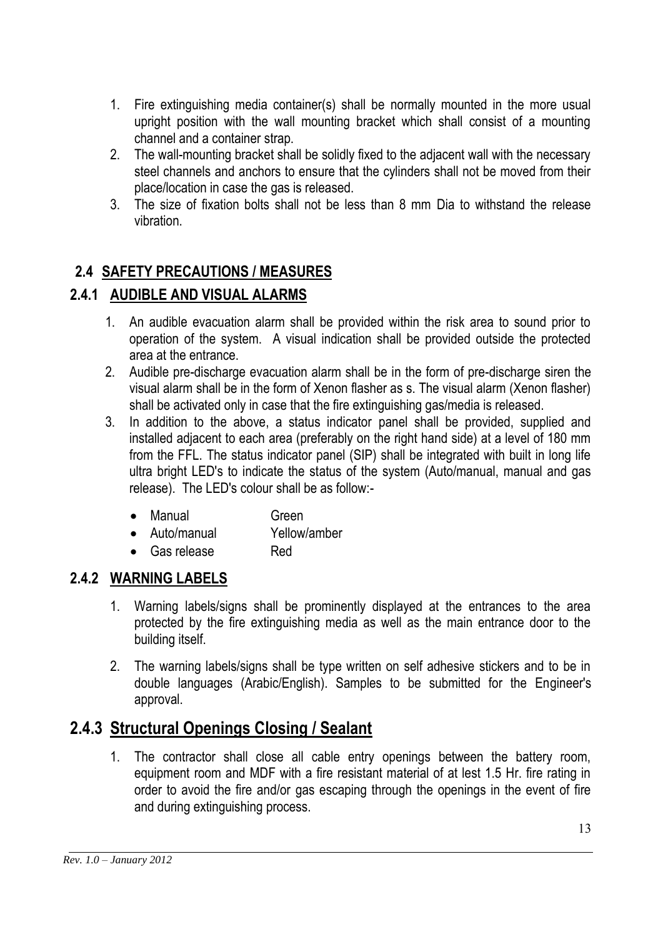- 1. Fire extinguishing media container(s) shall be normally mounted in the more usual upright position with the wall mounting bracket which shall consist of a mounting channel and a container strap.
- 2. The wall-mounting bracket shall be solidly fixed to the adjacent wall with the necessary steel channels and anchors to ensure that the cylinders shall not be moved from their place/location in case the gas is released.
- 3. The size of fixation bolts shall not be less than 8 mm Dia to withstand the release vibration.

## **2.4 SAFETY PRECAUTIONS / MEASURES**

## **2.4.1 AUDIBLE AND VISUAL ALARMS**

- 1. An audible evacuation alarm shall be provided within the risk area to sound prior to operation of the system. A visual indication shall be provided outside the protected area at the entrance.
- 2. Audible pre-discharge evacuation alarm shall be in the form of pre-discharge siren the visual alarm shall be in the form of Xenon flasher as s. The visual alarm (Xenon flasher) shall be activated only in case that the fire extinguishing gas/media is released.
- 3. In addition to the above, a status indicator panel shall be provided, supplied and installed adjacent to each area (preferably on the right hand side) at a level of 180 mm from the FFL. The status indicator panel (SIP) shall be integrated with built in long life ultra bright LED's to indicate the status of the system (Auto/manual, manual and gas release). The LED's colour shall be as follow:-
	- Manual Green
	- Auto/manual Yellow/amber
	- Gas release Red

#### **2.4.2 WARNING LABELS**

- 1. Warning labels/signs shall be prominently displayed at the entrances to the area protected by the fire extinguishing media as well as the main entrance door to the building itself.
- 2. The warning labels/signs shall be type written on self adhesive stickers and to be in double languages (Arabic/English). Samples to be submitted for the Engineer's approval.

## **2.4.3 Structural Openings Closing / Sealant**

1. The contractor shall close all cable entry openings between the battery room, equipment room and MDF with a fire resistant material of at lest 1.5 Hr. fire rating in order to avoid the fire and/or gas escaping through the openings in the event of fire and during extinguishing process.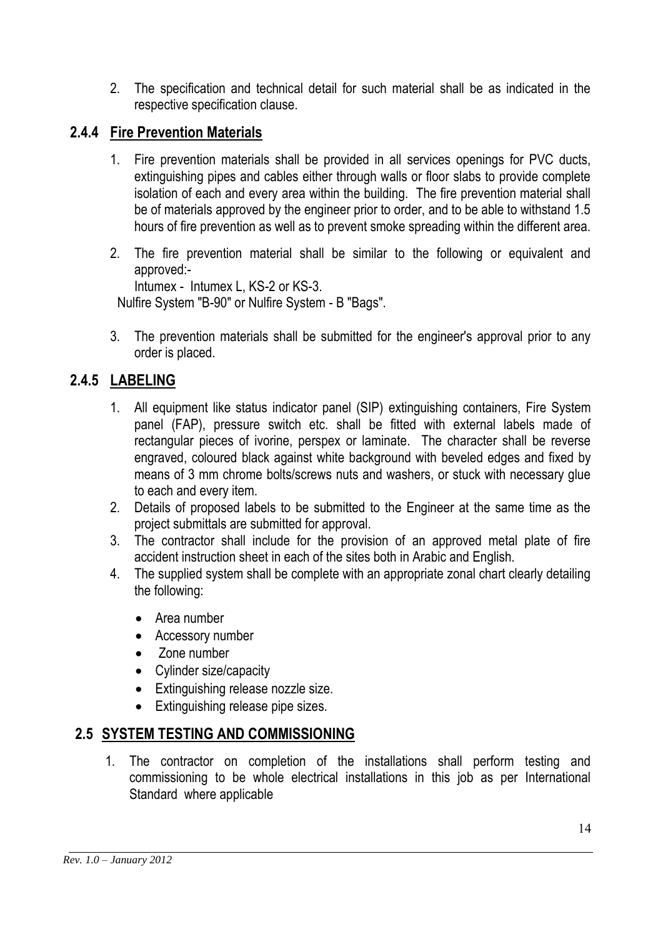2. The specification and technical detail for such material shall be as indicated in the respective specification clause.

#### **2.4.4 Fire Prevention Materials**

- 1. Fire prevention materials shall be provided in all services openings for PVC ducts, extinguishing pipes and cables either through walls or floor slabs to provide complete isolation of each and every area within the building. The fire prevention material shall be of materials approved by the engineer prior to order, and to be able to withstand 1.5 hours of fire prevention as well as to prevent smoke spreading within the different area.
- 2. The fire prevention material shall be similar to the following or equivalent and approved:-

Intumex - Intumex L, KS-2 or KS-3.

Nulfire System "B-90" or Nulfire System - B "Bags".

3. The prevention materials shall be submitted for the engineer's approval prior to any order is placed.

#### **2.4.5 LABELING**

- 1. All equipment like status indicator panel (SIP) extinguishing containers, Fire System panel (FAP), pressure switch etc. shall be fitted with external labels made of rectangular pieces of ivorine, perspex or laminate. The character shall be reverse engraved, coloured black against white background with beveled edges and fixed by means of 3 mm chrome bolts/screws nuts and washers, or stuck with necessary glue to each and every item.
- 2. Details of proposed labels to be submitted to the Engineer at the same time as the project submittals are submitted for approval.
- 3. The contractor shall include for the provision of an approved metal plate of fire accident instruction sheet in each of the sites both in Arabic and English.
- 4. The supplied system shall be complete with an appropriate zonal chart clearly detailing the following:
	- Area number
	- Accessory number
	- Zone number
	- Cylinder size/capacity
	- Extinguishing release nozzle size.
	- Extinguishing release pipe sizes.

#### **2.5 SYSTEM TESTING AND COMMISSIONING**

1. The contractor on completion of the installations shall perform testing and commissioning to be whole electrical installations in this job as per International Standard where applicable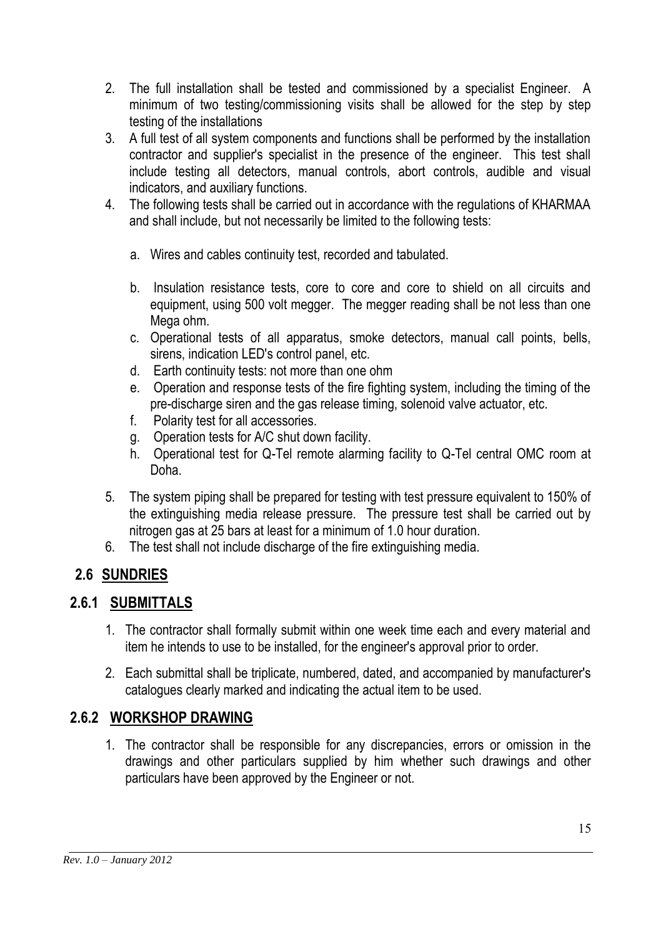- 2. The full installation shall be tested and commissioned by a specialist Engineer. A minimum of two testing/commissioning visits shall be allowed for the step by step testing of the installations
- 3. A full test of all system components and functions shall be performed by the installation contractor and supplier's specialist in the presence of the engineer. This test shall include testing all detectors, manual controls, abort controls, audible and visual indicators, and auxiliary functions.
- 4. The following tests shall be carried out in accordance with the regulations of KHARMAA and shall include, but not necessarily be limited to the following tests:
	- a. Wires and cables continuity test, recorded and tabulated.
	- b. Insulation resistance tests, core to core and core to shield on all circuits and equipment, using 500 volt megger. The megger reading shall be not less than one Mega ohm.
	- c. Operational tests of all apparatus, smoke detectors, manual call points, bells, sirens, indication LED's control panel, etc.
	- d. Earth continuity tests: not more than one ohm
	- e. Operation and response tests of the fire fighting system, including the timing of the pre-discharge siren and the gas release timing, solenoid valve actuator, etc.
	- f. Polarity test for all accessories.
	- g. Operation tests for A/C shut down facility.
	- h. Operational test for Q-Tel remote alarming facility to Q-Tel central OMC room at Doha.
- 5. The system piping shall be prepared for testing with test pressure equivalent to 150% of the extinguishing media release pressure. The pressure test shall be carried out by nitrogen gas at 25 bars at least for a minimum of 1.0 hour duration.
- 6. The test shall not include discharge of the fire extinguishing media.

## **2.6 SUNDRIES**

#### **2.6.1 SUBMITTALS**

- 1. The contractor shall formally submit within one week time each and every material and item he intends to use to be installed, for the engineer's approval prior to order.
- 2. Each submittal shall be triplicate, numbered, dated, and accompanied by manufacturer's catalogues clearly marked and indicating the actual item to be used.

## **2.6.2 WORKSHOP DRAWING**

1. The contractor shall be responsible for any discrepancies, errors or omission in the drawings and other particulars supplied by him whether such drawings and other particulars have been approved by the Engineer or not.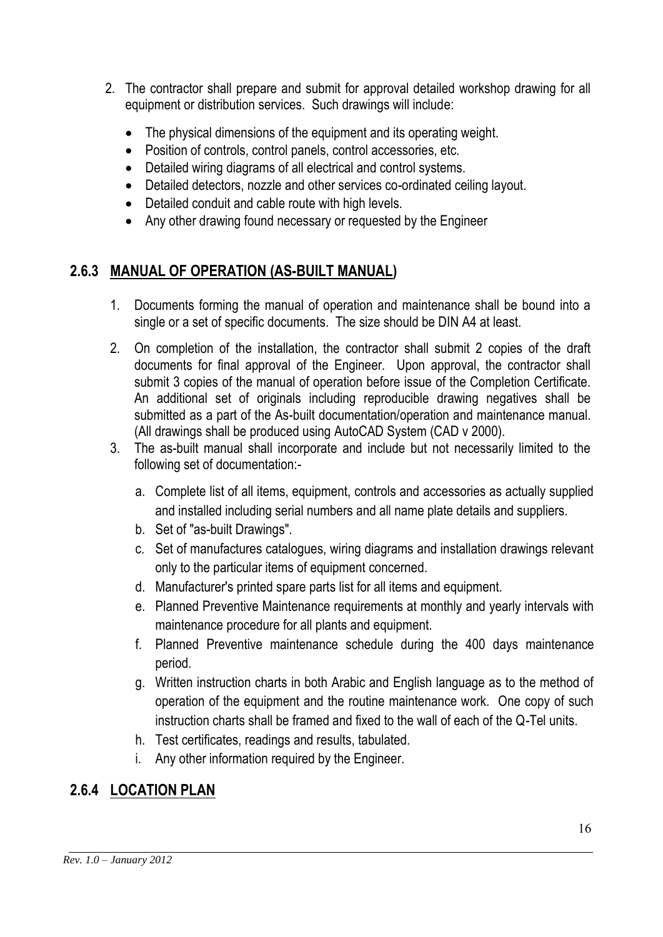- 2. The contractor shall prepare and submit for approval detailed workshop drawing for all equipment or distribution services. Such drawings will include:
	- The physical dimensions of the equipment and its operating weight.
	- Position of controls, control panels, control accessories, etc.
	- Detailed wiring diagrams of all electrical and control systems.
	- Detailed detectors, nozzle and other services co-ordinated ceiling layout.
	- Detailed conduit and cable route with high levels.
	- Any other drawing found necessary or requested by the Engineer

## **2.6.3 MANUAL OF OPERATION (AS-BUILT MANUAL)**

- 1. Documents forming the manual of operation and maintenance shall be bound into a single or a set of specific documents. The size should be DIN A4 at least.
- 2. On completion of the installation, the contractor shall submit 2 copies of the draft documents for final approval of the Engineer. Upon approval, the contractor shall submit 3 copies of the manual of operation before issue of the Completion Certificate. An additional set of originals including reproducible drawing negatives shall be submitted as a part of the As-built documentation/operation and maintenance manual. (All drawings shall be produced using AutoCAD System (CAD v 2000).
- 3. The as-built manual shall incorporate and include but not necessarily limited to the following set of documentation:
	- a. Complete list of all items, equipment, controls and accessories as actually supplied and installed including serial numbers and all name plate details and suppliers.
	- b. Set of "as-built Drawings".
	- c. Set of manufactures catalogues, wiring diagrams and installation drawings relevant only to the particular items of equipment concerned.
	- d. Manufacturer's printed spare parts list for all items and equipment.
	- e. Planned Preventive Maintenance requirements at monthly and yearly intervals with maintenance procedure for all plants and equipment.
	- f. Planned Preventive maintenance schedule during the 400 days maintenance period.
	- g. Written instruction charts in both Arabic and English language as to the method of operation of the equipment and the routine maintenance work. One copy of such instruction charts shall be framed and fixed to the wall of each of the Q-Tel units.
	- h. Test certificates, readings and results, tabulated.
	- i. Any other information required by the Engineer.

## **2.6.4 LOCATION PLAN**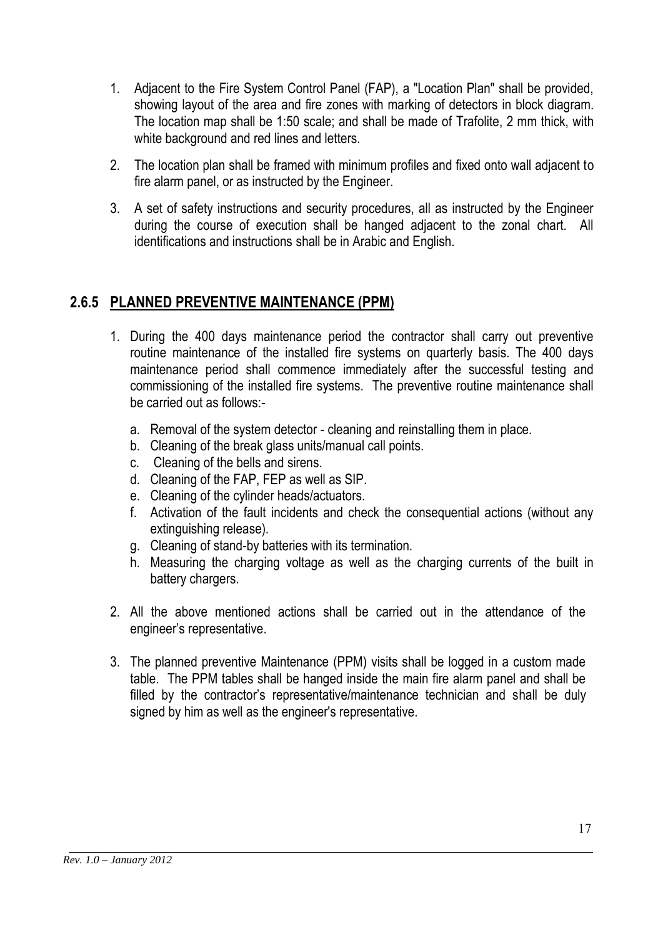- 1. Adjacent to the Fire System Control Panel (FAP), a "Location Plan" shall be provided, showing layout of the area and fire zones with marking of detectors in block diagram. The location map shall be 1:50 scale; and shall be made of Trafolite, 2 mm thick, with white background and red lines and letters.
- 2. The location plan shall be framed with minimum profiles and fixed onto wall adjacent to fire alarm panel, or as instructed by the Engineer.
- 3. A set of safety instructions and security procedures, all as instructed by the Engineer during the course of execution shall be hanged adjacent to the zonal chart. All identifications and instructions shall be in Arabic and English.

## **2.6.5 PLANNED PREVENTIVE MAINTENANCE (PPM)**

- 1. During the 400 days maintenance period the contractor shall carry out preventive routine maintenance of the installed fire systems on quarterly basis. The 400 days maintenance period shall commence immediately after the successful testing and commissioning of the installed fire systems. The preventive routine maintenance shall be carried out as follows:
	- a. Removal of the system detector cleaning and reinstalling them in place.
	- b. Cleaning of the break glass units/manual call points.
	- c. Cleaning of the bells and sirens.
	- d. Cleaning of the FAP, FEP as well as SIP.
	- e. Cleaning of the cylinder heads/actuators.
	- f. Activation of the fault incidents and check the consequential actions (without any extinguishing release).
	- g. Cleaning of stand-by batteries with its termination.
	- h. Measuring the charging voltage as well as the charging currents of the built in battery chargers.
- 2. All the above mentioned actions shall be carried out in the attendance of the engineer's representative.
- 3. The planned preventive Maintenance (PPM) visits shall be logged in a custom made table. The PPM tables shall be hanged inside the main fire alarm panel and shall be filled by the contractor's representative/maintenance technician and shall be duly signed by him as well as the engineer's representative.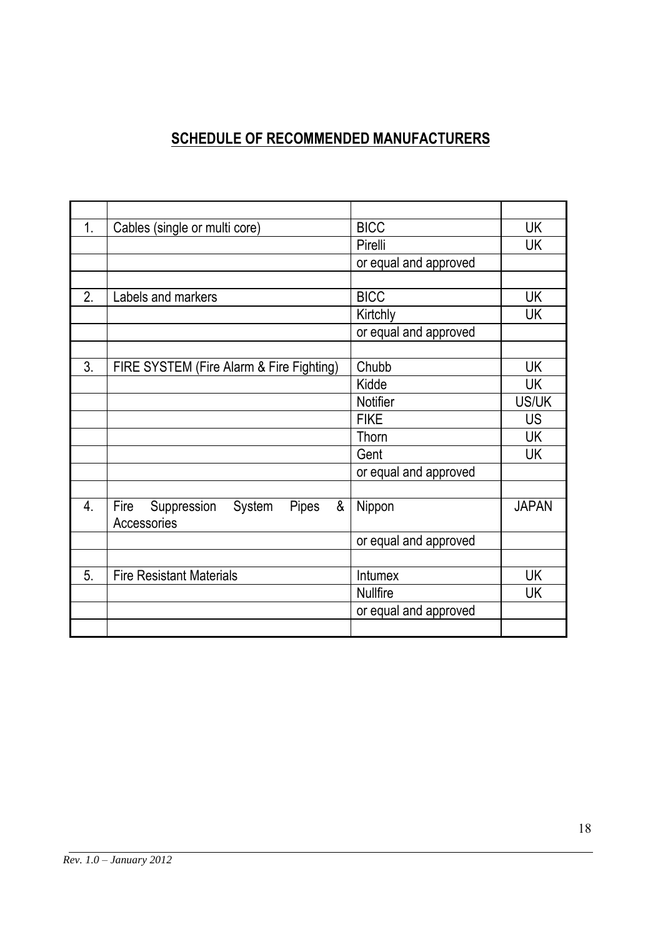## **SCHEDULE OF RECOMMENDED MANUFACTURERS**

| $\mathbf 1$ | Cables (single or multi core)                                     | <b>BICC</b>           | UK           |
|-------------|-------------------------------------------------------------------|-----------------------|--------------|
|             |                                                                   | Pirelli               | UK           |
|             |                                                                   | or equal and approved |              |
|             |                                                                   |                       |              |
| 2.          | Labels and markers                                                | <b>BICC</b>           | <b>UK</b>    |
|             |                                                                   | Kirtchly              | <b>UK</b>    |
|             |                                                                   | or equal and approved |              |
|             |                                                                   |                       |              |
| 3.          | FIRE SYSTEM (Fire Alarm & Fire Fighting)                          | Chubb                 | <b>UK</b>    |
|             |                                                                   | Kidde                 | <b>UK</b>    |
|             |                                                                   | <b>Notifier</b>       | US/UK        |
|             |                                                                   | <b>FIKE</b>           | <b>US</b>    |
|             |                                                                   | Thorn                 | UK           |
|             |                                                                   | Gent                  | UK           |
|             |                                                                   | or equal and approved |              |
|             |                                                                   |                       |              |
| 4.          | Fire<br>&<br>Suppression<br>System<br><b>Pipes</b><br>Accessories | Nippon                | <b>JAPAN</b> |
|             |                                                                   | or equal and approved |              |
|             |                                                                   |                       |              |
| 5.          | <b>Fire Resistant Materials</b>                                   | Intumex               | UK           |
|             |                                                                   | <b>Nullfire</b>       | UK           |
|             |                                                                   | or equal and approved |              |
|             |                                                                   |                       |              |
|             |                                                                   |                       |              |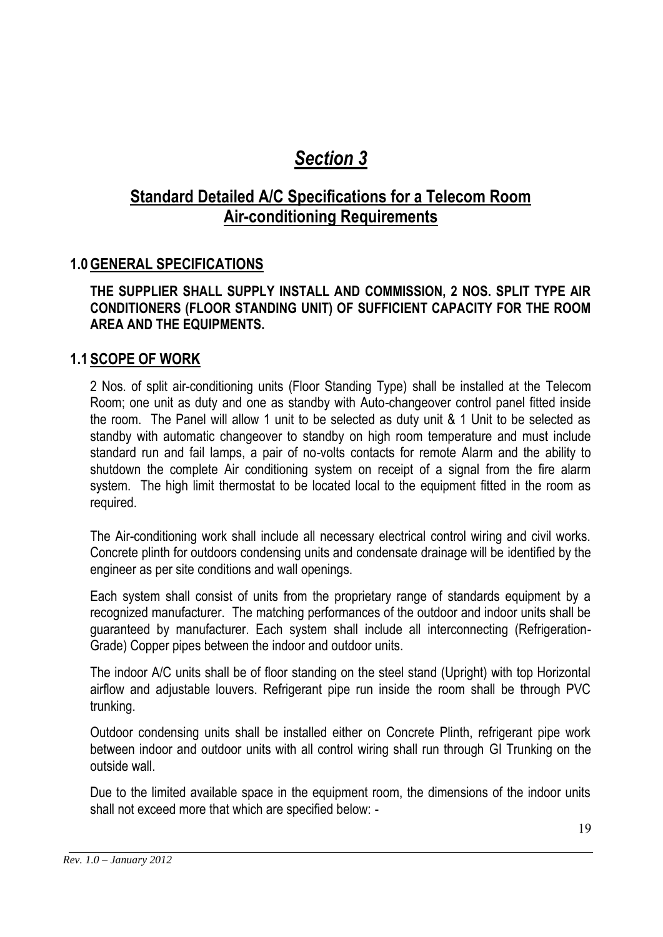## *Section 3*

## **Standard Detailed A/C Specifications for a Telecom Room Air-conditioning Requirements**

#### **1.0GENERAL SPECIFICATIONS**

#### **THE SUPPLIER SHALL SUPPLY INSTALL AND COMMISSION, 2 NOS. SPLIT TYPE AIR CONDITIONERS (FLOOR STANDING UNIT) OF SUFFICIENT CAPACITY FOR THE ROOM AREA AND THE EQUIPMENTS.**

#### **1.1 SCOPE OF WORK**

2 Nos. of split air-conditioning units (Floor Standing Type) shall be installed at the Telecom Room; one unit as duty and one as standby with Auto-changeover control panel fitted inside the room. The Panel will allow 1 unit to be selected as duty unit & 1 Unit to be selected as standby with automatic changeover to standby on high room temperature and must include standard run and fail lamps, a pair of no-volts contacts for remote Alarm and the ability to shutdown the complete Air conditioning system on receipt of a signal from the fire alarm system. The high limit thermostat to be located local to the equipment fitted in the room as required.

The Air-conditioning work shall include all necessary electrical control wiring and civil works. Concrete plinth for outdoors condensing units and condensate drainage will be identified by the engineer as per site conditions and wall openings.

Each system shall consist of units from the proprietary range of standards equipment by a recognized manufacturer. The matching performances of the outdoor and indoor units shall be guaranteed by manufacturer. Each system shall include all interconnecting (Refrigeration-Grade) Copper pipes between the indoor and outdoor units.

The indoor A/C units shall be of floor standing on the steel stand (Upright) with top Horizontal airflow and adjustable louvers. Refrigerant pipe run inside the room shall be through PVC trunking.

Outdoor condensing units shall be installed either on Concrete Plinth, refrigerant pipe work between indoor and outdoor units with all control wiring shall run through GI Trunking on the outside wall.

Due to the limited available space in the equipment room, the dimensions of the indoor units shall not exceed more that which are specified below: -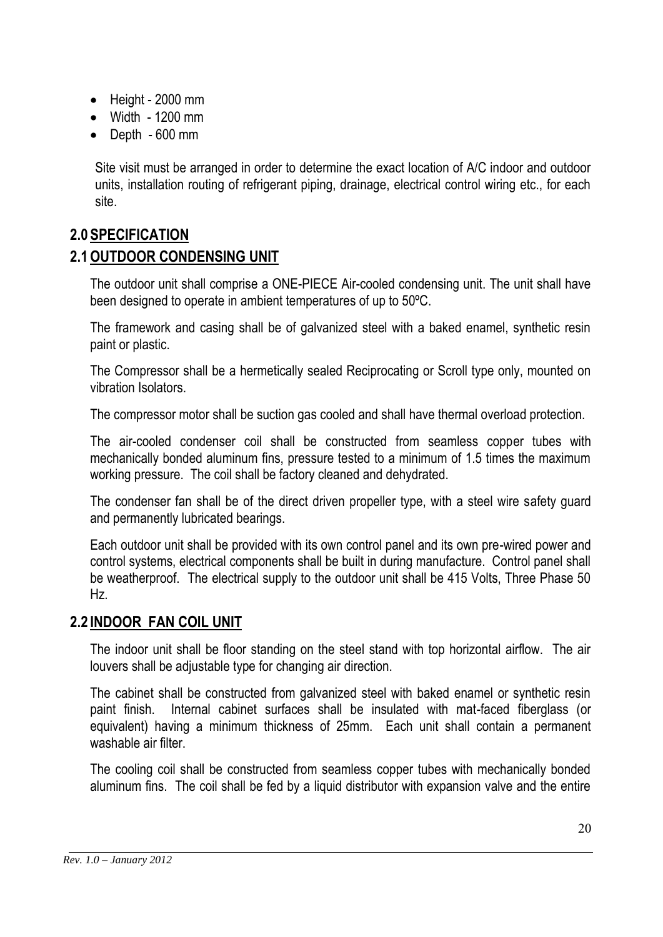- Height 2000 mm
- $\bullet$  Width 1200 mm
- Depth 600 mm

Site visit must be arranged in order to determine the exact location of A/C indoor and outdoor units, installation routing of refrigerant piping, drainage, electrical control wiring etc., for each site.

#### **2.0 SPECIFICATION**

#### **2.1OUTDOOR CONDENSING UNIT**

The outdoor unit shall comprise a ONE-PIECE Air-cooled condensing unit. The unit shall have been designed to operate in ambient temperatures of up to 50ºC.

The framework and casing shall be of galvanized steel with a baked enamel, synthetic resin paint or plastic.

The Compressor shall be a hermetically sealed Reciprocating or Scroll type only, mounted on vibration Isolators.

The compressor motor shall be suction gas cooled and shall have thermal overload protection.

The air-cooled condenser coil shall be constructed from seamless copper tubes with mechanically bonded aluminum fins, pressure tested to a minimum of 1.5 times the maximum working pressure. The coil shall be factory cleaned and dehydrated.

The condenser fan shall be of the direct driven propeller type, with a steel wire safety guard and permanently lubricated bearings.

Each outdoor unit shall be provided with its own control panel and its own pre-wired power and control systems, electrical components shall be built in during manufacture. Control panel shall be weatherproof. The electrical supply to the outdoor unit shall be 415 Volts, Three Phase 50 Hz.

#### **2.2 INDOOR FAN COIL UNIT**

The indoor unit shall be floor standing on the steel stand with top horizontal airflow. The air louvers shall be adjustable type for changing air direction.

The cabinet shall be constructed from galvanized steel with baked enamel or synthetic resin paint finish. Internal cabinet surfaces shall be insulated with mat-faced fiberglass (or equivalent) having a minimum thickness of 25mm. Each unit shall contain a permanent washable air filter.

The cooling coil shall be constructed from seamless copper tubes with mechanically bonded aluminum fins. The coil shall be fed by a liquid distributor with expansion valve and the entire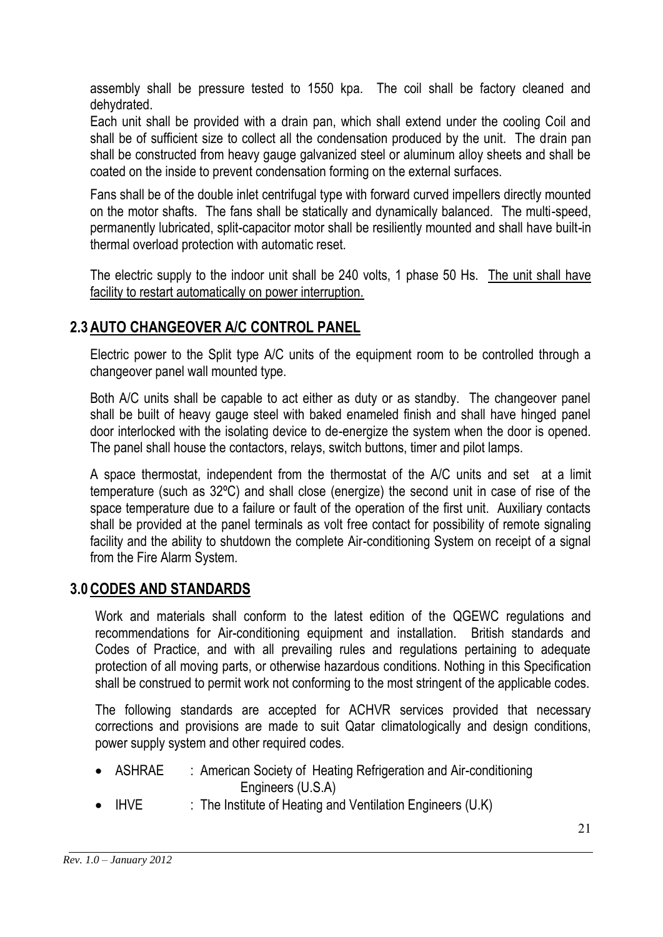assembly shall be pressure tested to 1550 kpa. The coil shall be factory cleaned and dehydrated.

Each unit shall be provided with a drain pan, which shall extend under the cooling Coil and shall be of sufficient size to collect all the condensation produced by the unit. The drain pan shall be constructed from heavy gauge galvanized steel or aluminum alloy sheets and shall be coated on the inside to prevent condensation forming on the external surfaces.

Fans shall be of the double inlet centrifugal type with forward curved impellers directly mounted on the motor shafts. The fans shall be statically and dynamically balanced. The multi-speed, permanently lubricated, split-capacitor motor shall be resiliently mounted and shall have built-in thermal overload protection with automatic reset.

The electric supply to the indoor unit shall be 240 volts, 1 phase 50 Hs. The unit shall have facility to restart automatically on power interruption.

## **2.3AUTO CHANGEOVER A/C CONTROL PANEL**

Electric power to the Split type A/C units of the equipment room to be controlled through a changeover panel wall mounted type.

Both A/C units shall be capable to act either as duty or as standby. The changeover panel shall be built of heavy gauge steel with baked enameled finish and shall have hinged panel door interlocked with the isolating device to de-energize the system when the door is opened. The panel shall house the contactors, relays, switch buttons, timer and pilot lamps.

A space thermostat, independent from the thermostat of the A/C units and set at a limit temperature (such as 32ºC) and shall close (energize) the second unit in case of rise of the space temperature due to a failure or fault of the operation of the first unit. Auxiliary contacts shall be provided at the panel terminals as volt free contact for possibility of remote signaling facility and the ability to shutdown the complete Air-conditioning System on receipt of a signal from the Fire Alarm System.

#### **3.0CODES AND STANDARDS**

Work and materials shall conform to the latest edition of the QGEWC regulations and recommendations for Air-conditioning equipment and installation. British standards and Codes of Practice, and with all prevailing rules and regulations pertaining to adequate protection of all moving parts, or otherwise hazardous conditions. Nothing in this Specification shall be construed to permit work not conforming to the most stringent of the applicable codes.

The following standards are accepted for ACHVR services provided that necessary corrections and provisions are made to suit Qatar climatologically and design conditions, power supply system and other required codes.

- ASHRAE : American Society of Heating Refrigeration and Air-conditioning Engineers (U.S.A)
- IHVE : The Institute of Heating and Ventilation Engineers (U.K)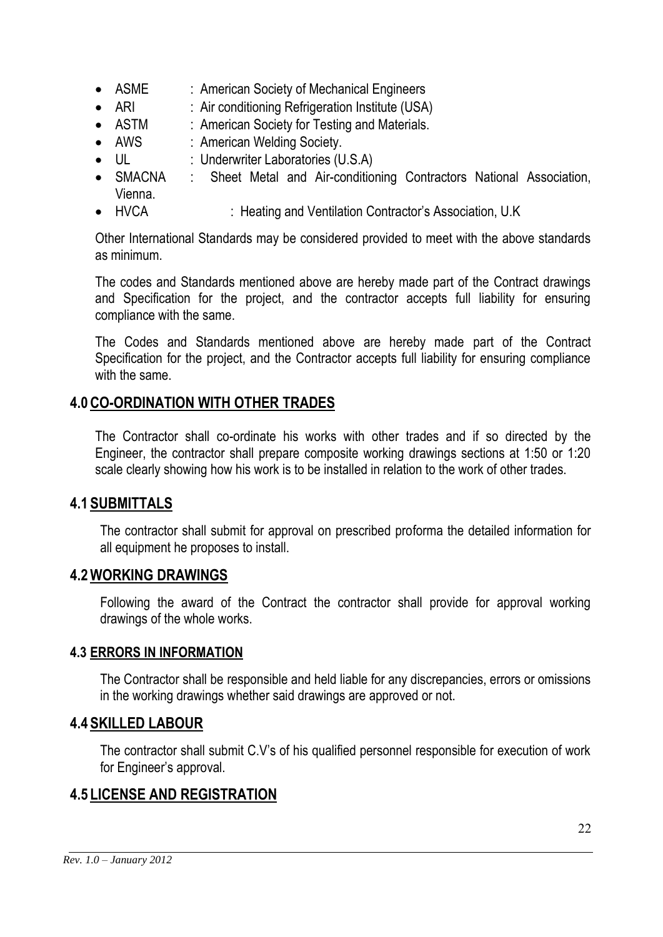- ASME : American Society of Mechanical Engineers
- ARI : Air conditioning Refrigeration Institute (USA)
- ASTM : American Society for Testing and Materials.
- AWS : American Welding Society.
- UL : Underwriter Laboratories (U.S.A)
- SMACNA : Sheet Metal and Air-conditioning Contractors National Association, Vienna.
- HVCA : Heating and Ventilation Contractor's Association, U.K

Other International Standards may be considered provided to meet with the above standards as minimum.

The codes and Standards mentioned above are hereby made part of the Contract drawings and Specification for the project, and the contractor accepts full liability for ensuring compliance with the same.

The Codes and Standards mentioned above are hereby made part of the Contract Specification for the project, and the Contractor accepts full liability for ensuring compliance with the same.

#### **4.0CO-ORDINATION WITH OTHER TRADES**

The Contractor shall co-ordinate his works with other trades and if so directed by the Engineer, the contractor shall prepare composite working drawings sections at 1:50 or 1:20 scale clearly showing how his work is to be installed in relation to the work of other trades.

#### **4.1 SUBMITTALS**

The contractor shall submit for approval on prescribed proforma the detailed information for all equipment he proposes to install.

#### **4.2WORKING DRAWINGS**

Following the award of the Contract the contractor shall provide for approval working drawings of the whole works.

#### **4.3 ERRORS IN INFORMATION**

The Contractor shall be responsible and held liable for any discrepancies, errors or omissions in the working drawings whether said drawings are approved or not.

#### **4.4 SKILLED LABOUR**

The contractor shall submit C.V's of his qualified personnel responsible for execution of work for Engineer's approval.

## **4.5 LICENSE AND REGISTRATION**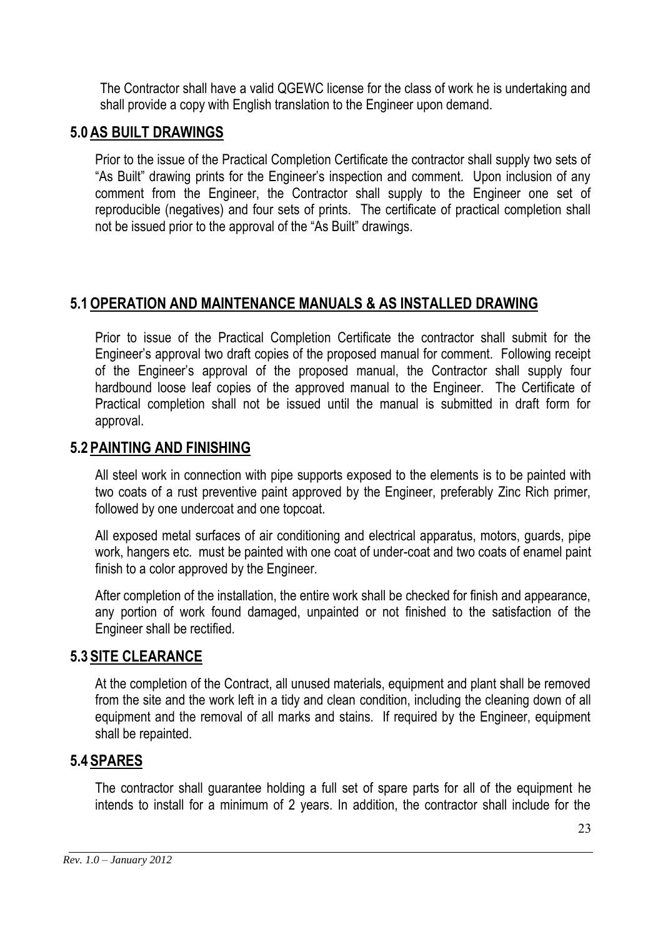The Contractor shall have a valid QGEWC license for the class of work he is undertaking and shall provide a copy with English translation to the Engineer upon demand.

#### **5.0AS BUILT DRAWINGS**

Prior to the issue of the Practical Completion Certificate the contractor shall supply two sets of "As Built" drawing prints for the Engineer's inspection and comment. Upon inclusion of any comment from the Engineer, the Contractor shall supply to the Engineer one set of reproducible (negatives) and four sets of prints. The certificate of practical completion shall not be issued prior to the approval of the "As Built" drawings.

#### **5.1OPERATION AND MAINTENANCE MANUALS & AS INSTALLED DRAWING**

Prior to issue of the Practical Completion Certificate the contractor shall submit for the Engineer's approval two draft copies of the proposed manual for comment. Following receipt of the Engineer's approval of the proposed manual, the Contractor shall supply four hardbound loose leaf copies of the approved manual to the Engineer. The Certificate of Practical completion shall not be issued until the manual is submitted in draft form for approval.

#### **5.2 PAINTING AND FINISHING**

All steel work in connection with pipe supports exposed to the elements is to be painted with two coats of a rust preventive paint approved by the Engineer, preferably Zinc Rich primer, followed by one undercoat and one topcoat.

All exposed metal surfaces of air conditioning and electrical apparatus, motors, guards, pipe work, hangers etc. must be painted with one coat of under-coat and two coats of enamel paint finish to a color approved by the Engineer.

After completion of the installation, the entire work shall be checked for finish and appearance, any portion of work found damaged, unpainted or not finished to the satisfaction of the Engineer shall be rectified.

#### **5.3 SITE CLEARANCE**

At the completion of the Contract, all unused materials, equipment and plant shall be removed from the site and the work left in a tidy and clean condition, including the cleaning down of all equipment and the removal of all marks and stains. If required by the Engineer, equipment shall be repainted.

#### **5.4 SPARES**

The contractor shall guarantee holding a full set of spare parts for all of the equipment he intends to install for a minimum of 2 years. In addition, the contractor shall include for the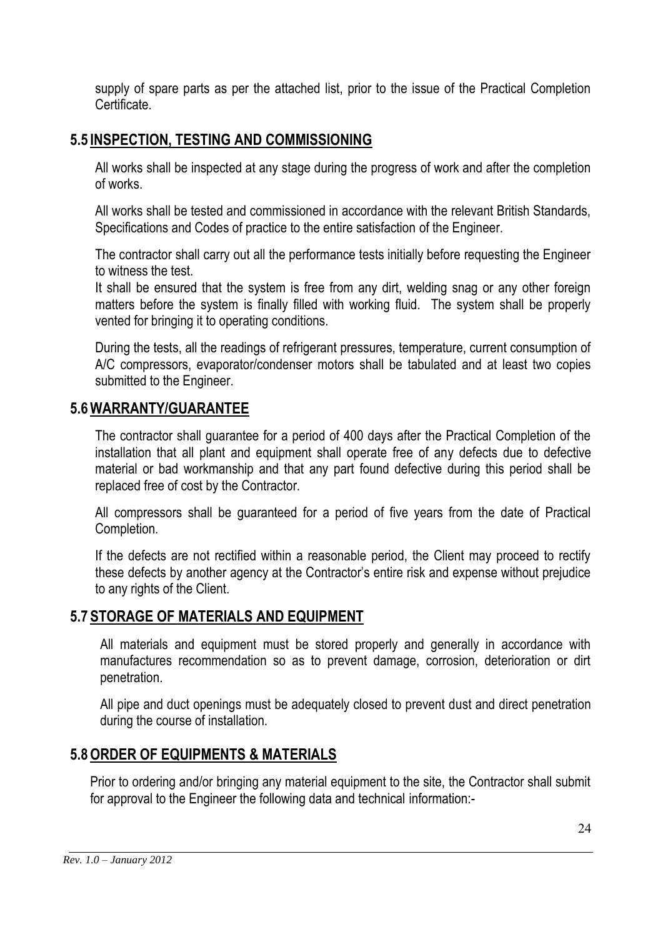supply of spare parts as per the attached list, prior to the issue of the Practical Completion Certificate.

## **5.5 INSPECTION, TESTING AND COMMISSIONING**

All works shall be inspected at any stage during the progress of work and after the completion of works.

All works shall be tested and commissioned in accordance with the relevant British Standards, Specifications and Codes of practice to the entire satisfaction of the Engineer.

The contractor shall carry out all the performance tests initially before requesting the Engineer to witness the test.

It shall be ensured that the system is free from any dirt, welding snag or any other foreign matters before the system is finally filled with working fluid. The system shall be properly vented for bringing it to operating conditions.

During the tests, all the readings of refrigerant pressures, temperature, current consumption of A/C compressors, evaporator/condenser motors shall be tabulated and at least two copies submitted to the Engineer.

#### **5.6WARRANTY/GUARANTEE**

The contractor shall guarantee for a period of 400 days after the Practical Completion of the installation that all plant and equipment shall operate free of any defects due to defective material or bad workmanship and that any part found defective during this period shall be replaced free of cost by the Contractor.

All compressors shall be guaranteed for a period of five years from the date of Practical Completion.

If the defects are not rectified within a reasonable period, the Client may proceed to rectify these defects by another agency at the Contractor's entire risk and expense without prejudice to any rights of the Client.

#### **5.7 STORAGE OF MATERIALS AND EQUIPMENT**

All materials and equipment must be stored properly and generally in accordance with manufactures recommendation so as to prevent damage, corrosion, deterioration or dirt penetration.

All pipe and duct openings must be adequately closed to prevent dust and direct penetration during the course of installation.

#### **5.8ORDER OF EQUIPMENTS & MATERIALS**

Prior to ordering and/or bringing any material equipment to the site, the Contractor shall submit for approval to the Engineer the following data and technical information:-